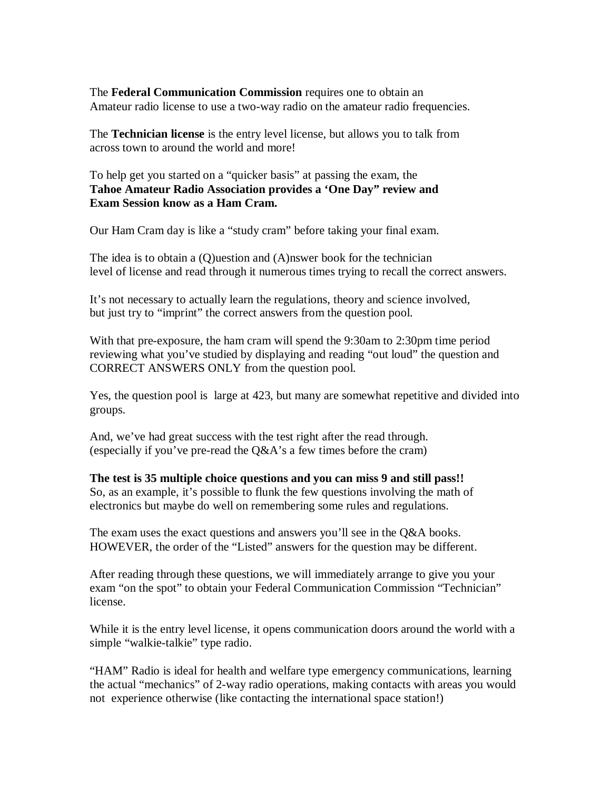The **Federal Communication Commission** requires one to obtain an Amateur radio license to use a two-way radio on the amateur radio frequencies.

The **Technician license** is the entry level license, but allows you to talk from across town to around the world and more!

To help get you started on a "quicker basis" at passing the exam, the **Tahoe Amateur Radio Association provides a 'One Day" review and Exam Session know as a Ham Cram.**

Our Ham Cram day is like a "study cram" before taking your final exam.

The idea is to obtain a (Q)uestion and (A)nswer book for the technician level of license and read through it numerous times trying to recall the correct answers.

It's not necessary to actually learn the regulations, theory and science involved, but just try to "imprint" the correct answers from the question pool.

With that pre-exposure, the ham cram will spend the 9:30am to 2:30pm time period reviewing what you've studied by displaying and reading "out loud" the question and CORRECT ANSWERS ONLY from the question pool.

Yes, the question pool is large at 423, but many are somewhat repetitive and divided into groups.

And, we've had great success with the test right after the read through. (especially if you've pre-read the Q&A's a few times before the cram)

**The test is 35 multiple choice questions and you can miss 9 and still pass!!** So, as an example, it's possible to flunk the few questions involving the math of electronics but maybe do well on remembering some rules and regulations.

The exam uses the exact questions and answers you'll see in the Q&A books. HOWEVER, the order of the "Listed" answers for the question may be different.

After reading through these questions, we will immediately arrange to give you your exam "on the spot" to obtain your Federal Communication Commission "Technician" license.

While it is the entry level license, it opens communication doors around the world with a simple "walkie-talkie" type radio.

"HAM" Radio is ideal for health and welfare type emergency communications, learning the actual "mechanics" of 2-way radio operations, making contacts with areas you would not experience otherwise (like contacting the international space station!)